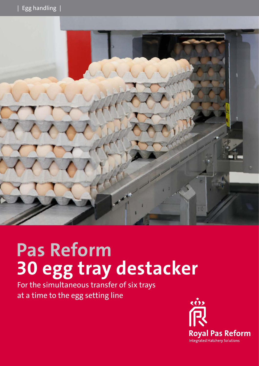

# **Pas Reform 30 egg tray destacker**

For the simultaneous transfer of six trays at a time to the egg setting line